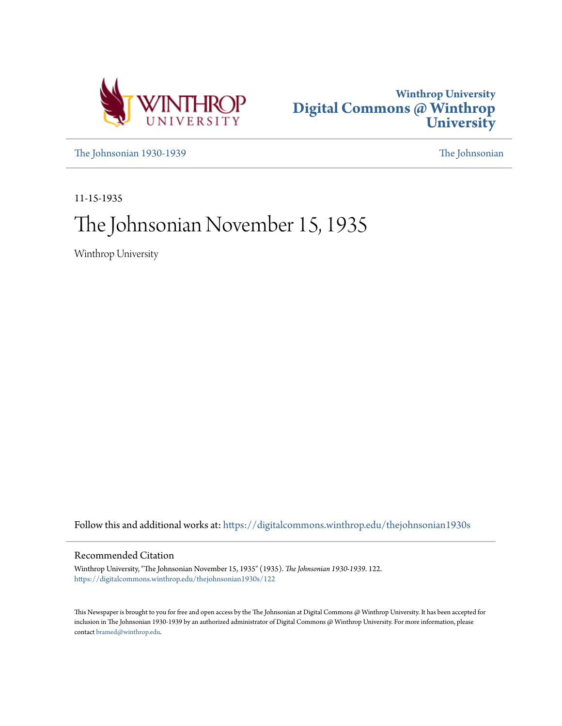



[The Johnsonian 1930-1939](https://digitalcommons.winthrop.edu/thejohnsonian1930s?utm_source=digitalcommons.winthrop.edu%2Fthejohnsonian1930s%2F122&utm_medium=PDF&utm_campaign=PDFCoverPages) [The Johnsonian](https://digitalcommons.winthrop.edu/thejohnsonian_newspaper?utm_source=digitalcommons.winthrop.edu%2Fthejohnsonian1930s%2F122&utm_medium=PDF&utm_campaign=PDFCoverPages)

11-15-1935

# The Johnsonian November 15, 1935

Winthrop University

Follow this and additional works at: [https://digitalcommons.winthrop.edu/thejohnsonian1930s](https://digitalcommons.winthrop.edu/thejohnsonian1930s?utm_source=digitalcommons.winthrop.edu%2Fthejohnsonian1930s%2F122&utm_medium=PDF&utm_campaign=PDFCoverPages)

## Recommended Citation

Winthrop University, "The Johnsonian November 15, 1935" (1935). *The Johnsonian 1930-1939*. 122. [https://digitalcommons.winthrop.edu/thejohnsonian1930s/122](https://digitalcommons.winthrop.edu/thejohnsonian1930s/122?utm_source=digitalcommons.winthrop.edu%2Fthejohnsonian1930s%2F122&utm_medium=PDF&utm_campaign=PDFCoverPages)

This Newspaper is brought to you for free and open access by the The Johnsonian at Digital Commons @ Winthrop University. It has been accepted for inclusion in The Johnsonian 1930-1939 by an authorized administrator of Digital Commons @ Winthrop University. For more information, please contact [bramed@winthrop.edu](mailto:bramed@winthrop.edu).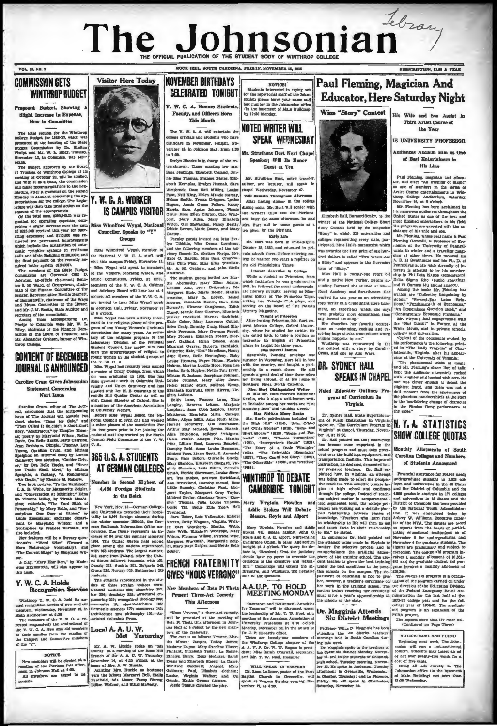# Tebran The Johnsonial OFFICIAL BUBLICATION OF THE STUDENT BODY **STRACKSPTION, \$1.80 & VEAR**

OF ITLY CORPORATIONS CONTINUES INTO A COMMISSION OF

## VOL. 12, NO. 9 **COMMISSION GETS**

# **WINTHROP BUDGET**

sed Budget, Showing a Slight Increase in Expen Now in Committee

totel request for the Winthrop<br>pe Budget for 1936-37, which was<br>hed at the hearing of the State<br>t Commission by Dr. Shelton<br>a and Mr. W. L. Riley, Tuesday,<br>her 12, in Columbia, was \$410,-

19.25. The budget, approved by the Board Transless of Winthrop College et its Transless of Winthrop College et its decorated of College and Minimals are commentation to the Leger<br>definition of the commentation of the Lege mount of the appropriation.<br>Of the total sum, \$299,843.25 was re

Of the total sum, exceptions, com-<br>griding a alight increase over the sum-<br>prising a alight increase over the sum-<br>of \$215,000 received this year for oper-<br>ating expenses; and \$110,000 was reed for permanent improvement thich inclu  $\overline{\mathbf{u}}$ tlic -prinkler systems in residence<br>ils and Main Buliding (\$100,000); and the final payment on the recently ac ter system (\$10,000).

boiler system (\$10,000).<br>members of the State Budget<br>salon are Governor Olin D. The nuturalen are Governor Olin D.,<br>Inston, ax-officio chairman; Sena-<br>S. M. Ward, of Georgetown, chair-<br>a of the Finance Committee of the<br>alse: Representative Nevilla Barrier<br>Bar remance Committee or the<br>resentative Neville Beanett,<br>ville, chairman of the Ways isometic pairman of the Ways Concer. All members of the X.W.C.A. Branch Means Committee of the House; are invited to hear Miss Wygal speak Brown, Mr. J.M. Smith, State Auditor and in Johnson Hall, Privaty, November 15 Bur

d Mr. J. M. Smith, State Autonomics Teleston.<br>Teleston Among these accompanying Dr. align to Columbia were Mr. W. Lege the State Continue of the Finance Continue of Trustees; and the Finance Continue of Win-

## **CONTENT OF DECEMBER JOURNAL IS ANNOUNCED**

### oline Crum Gives Jol **Statement Concerning Next Issue**

Next Issue<br>
Caroline Crum, editor of The Journous change of the state radio<br>
real, an<br>another that the forthcoming lanes of The Journous and the state<br>
and the state real of the state and the state and the state of<br>
anoth

## Y. W. C. A. Holds

trop Y. W. C. A. held its anblo bas won to

Wintinop Y. W. G. A. near us an<br>interpret of new and old recognition service of new and old Main Auditor<br>(unservice of new and old Main Auditor<br>(um at 6:30. Weenster 13, in The members of the Y. W. G. A. re-<br>peated respon

### **NOTICE**

members will be elected at a<br>ng of the Pierians this after-<br>in Johnson Hall at 4:30,<br>members are urged to be noon in Jol<br>All men



## Y. W. C. A. WORKER **IS CAMPUS VISITOR**

Miss Winnifred Wygal, National Councilor, Speaks to "Y"

New York, Nov. 15.-Oerman College. nounces. The figure represents an inalso included. Hence, when the set of  $B$  over the summer semested and securities of  $B$  over the summer semestionality. "Word Wiss" (Toward a list). The United States held seconds in the control of the control of the sem sonative. "Word Wiss" (Toward a 1954. The United States held scondore Picturesque Cocality and place among the astions represented The Current Biage" by Maryland Wil- with S6 stockets. The largest numerical companion one.<br>  $948$ 

students. The subjects represented in the st V. C. A. Holds dies of these foreign visitors were:<br>Recognition Service General medicine 890; chemistry 352: law 254; dentistry 225; structural gineering 219; evangelical theology 209 ew and old economics 19; electro-technics 185;<br>mber 13, in Oermanic aciences 179; commerce 145; architecture 125; philo ophy  $101 - As$ sociated Collegiate Press

> Local A. A. U. W. Met Yesterday

Mr. A. W. Hockle spake on "My County" at a mevillag of the Rock Hill Branch of the A. A. U. W. Thursday, November 14, at 4.13 o'clock at the honor of Mr. A. W. Thursday, Northern Margaret Bell, Stellar Branch (Mr. A. W. T



**This Month** The Y. W. G. A. will entertain the

ollege officials and students who have irthdays in November, tonight, Noember 15, in Johnson Hall, from 6:30  $0.90$ 

Evelyn Rhodes is in charge of the en criainment. Those assisting her are:<br>Sara Jenninga, Elizabeth Cleland, Jennie Mac Thomas Prences Hester, Eliz. abeth Kerhulas, Evalyn Hannah, Sara abeth Kerhulas, Evalyn Hannah, Sara suthor, and letturer, will Westbroot, Roses Neti Milling, Louise chapel Wednesday, November Praise, Nettle Park, Nettle Marko Suthorn, Nettler Reports, Annie Graes Pellers, Nearly differ

*raston.*<br>Faculty guests invited are Miss Eve

is Minis Winnifred Wygal, National Weth, Chili Methodas, National Weiss (1979)<br>
2. Council Correlation (1974)<br>
2. Council Correlation (1974)<br>
2. Council Correlation (1974)<br>
2. Council Correlation (1974)<br>
2. Council Correl ples" Thomas, Julia Louise Th<br>Leslie Till, Sallie Ellis Todd, Townsend,

Townsend.<br>- Sara Usher, Lois Vallentine, Eatofe Sara Usher, Lots Valentine, Eastern Veren, Betty Wegman, Virginia, Well-<br>er, Sara Weatherly, Martha Webb,<br>Joste Wells, Ellisabeth Westry, Martha Webb,<br>Wison, Florence Wilson, Patricia Wise,<br>Margaret Workman, Marguerite Zel er, Mary Hays Zeigler, and Nettie Bell

## **FRENCH FRATERNITY GIVES "NOUS VERRONS"**

New Members of Beta Pi Theta **Present Three-Act Comedy** This Afternoon

"Nous Venom," a three-act comedy,<br>will be presented at the meeting of<br>Beta Pi Theta this afternoon in John-<br>Jon Hall at 4 o'clock by the new mem-<br>burs of the 4 o'clock by the new mem-

ion Hall at 4 o's<br>box by the new memory of the fractional of the fractional state of<br>the state is a follower. Younce, Mark Money Jacques, Dabley James;<br>Markam Dupen, Mary Coroller Ulmer: The House Press, Mark Strains, Eth

 $\begin{tabular}{l|c|c|c} \hline \textbf{NOTICB1} \\ \hline \textbf{Student interest in trying out} \\ \hline \textbf{for the reported start of the Johann sound} \\ \textbf{count} is a good value of the volume of the John sound and the volume of the volume. \\ \hline \end{tabular}$ own mump une Jonnsonian<br>... ... Main Nuf (in the basement<br>by 12:30 Monday **NOTED WRITER WILL** SPEAK WEDNESDAY

 $v \wedge v \wedge v$ 

Mr. Struthers Burt Next Chap Speaker; Will Be Hono Coast of Tax

Mr. Struthers Burt, noted travel sur, outstands murt, noted traveler,<br>uthor, and lecturer, will speak in<br>hapel Wednesday, November 20.

Will Remain Throughout Afternos dintag room, Mr. Burt will confer with the Writer's Club and the Blackans n. he and Mrs. Buyt will be honor monte at a tea given by the Pierlans

Early Life Mr. Burt was horn in Philadelphi October 18, 1882, and educated in privalue schools there. Before entering college he was for two years a reporter on the old Philadelphia Times.

**Etterner Activities in College** 

Literary Asiztides in College and Scher Michael and Scher Wahleh Institution be used pointed in 1964, he fields are literary pure<br>distribution be used and the property pure and interary pure and the<br>respective of The Piec

serving 65 the board of The Nexa<br>salt and the David Michael Theorem and the Teach After heaving Princeton, Mr. Durt enter<br>allows the service of the served burner. The served of the served of<br>the served of the served of the

nenship lin a rangh there. He still appear a spends a great deal of time there when<br>not living abroad, or at his lome in<br>Southern Pines, North Carolino.<br>Mex. Bart Dislinguished Writer<br>In 1913 Mr. Burt morried Katherine

Noted Educator Outlines Pro-Newlin, who is also a well-known writ

Newlin, who is also a well-known writer.<br>
FR Included among her works are "The Branding Iron" and "Hidden Creed."<br> **Han Writer Nany Bosks**<br> **M. Bur's publications included "In**<br>
the High Rill" (1914), "John O'May<br>
and Othe Dr. Sydney Hall, State Superintendent of Public Instruction in Virginia, spoke or. "The Curriculum Program in Virginia.

Transmer and Rettrement Annulsius . The state of the same of the state of the endership of Mr. T. W. Noel, at a  $\sum_{k=1}^{n}$  Dr. Magginia Attends meeting of the American Association of  $\sum_{k=1}^{n}$  District Integrish has



His Wife and Son Assist in Third Auto Concess the Vans

**10 INIURDOWY BRAEBOON** 

Andioneer Acoluim Wim an One of Reet Entertainers in **Min I inn** 

**Him Line Paul Henning, magnian and education of the set of the set of the set of the set of the set of the set of the set of the set of the set of the set of the set of the set of the set of the set of the set of the set** 

nar. Fleming had engagements with<br>the "Hut Circuit" in France, at the<br>White House, and in private schools,<br>colleges and universities.<br>Typical of the comments evoked by

she gescripes her lavorite occupaceiving large checks from editors which<br>seldom happens to me." scientificant completes to me.<br>Winthrop was represented in the<br>the contest with a story by Caroline

Crum, and one by Ann Ware.

**DR. SYDNEY HALL** 

SPEAKS IN CHAPEL

gram of Curriculum In

Virginia

his performance is the following, printed in "The Daily Progress" of Char-<br>Jottesville, Virginia, after his appear-<br>since at the University of Virginia;<br>"The phenomenal tricks of magic,<br>and Mr. Fleming's clover line of talk,

kept the audience alternately rocked with laughter and hushed with awe. No<br>one was elever enough to defect the<br>alightest fraud, and there was not a<br>dull moment from the appearance of<br>the phantom handscribies at the start<br>to the bewildering change of character

N.Y.A. STATISTICS

Burst California (1918), and Post Results and Results and Results and Results and Results and Results and Results and Results are not all the set of the set of the set of the set of the set of the set of the set of the se

NOTICE: LOST AND FOUND<br>Depinning next week, The Johnson will run a lost-and-found column Students may insert an ad of not over twarts<br>Union Students may insert an ad of not over two for a lost-and-found<br>column Students ma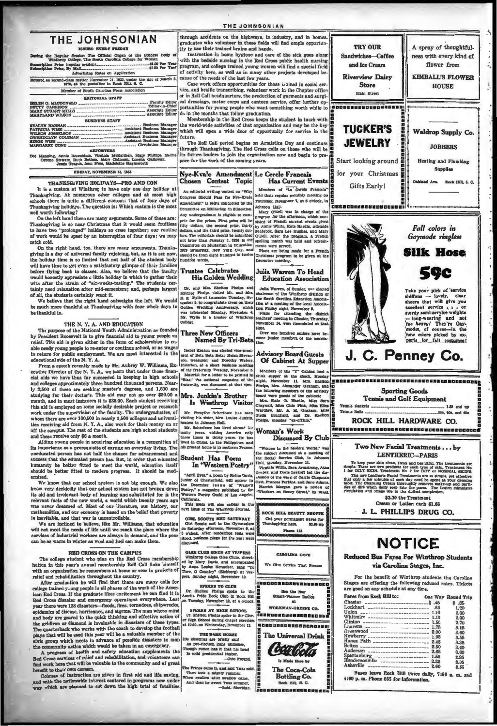### THE IOUNGONIAN

## THE JOHNSONIAN

the Regular Session The Official Organ of the Student Body Winthrop College, The South Carolina College for Women \$1.00 Per Year

ription Price (regular session)......<br>ription Price, By Mail............... I<sup>nii</sup>ssaannannannannannanna<br>fuertistae Rates an Annii and-class matter November 21, 1922, under the Act of March 3<br>1879, at the postoffice in Rock Hill, S. C.

Member of Bouth Carolina Press Association **FDITORIAL STAFF** 

| <b>BUSINESS STAFF</b> |
|-----------------------|
|                       |

Kelthen, Mary Phillips, I<br>ilman, Lorena Galloway,<br>tine Haynaworth de Rosenblum, Virginia McB<br>art, Ruth Bethea, Mary Gal<br>a Teagua Jean Mosa Madele

**FRIDAY NOVEMBER IS 1915** 

### THANKSG VING HOLIDAYS PRO AND CON

It is a custom at Winkhop to have only one day holiday at Thankegiving. At numerous other colleges and at most high echods there is quite a different custom: that of four days of check and at Thankegiving holidays. The que all worth following?

We want nonvening?<br>Thanksgiving is so near Christmas that it would seem fruitless<br>to theve two "prolonged" holidays so close together; our routines<br>of work would be upset by an interruption of four days; we may<br>of work wou cold.

On the right hand, too, there are many arguments. Thanksgiving is a day of universal family rejoicing, but, as it is set now<br>the holiday time is so limited that not half of the student body will have time to get even a satisfactory glimpse of their families<br>before flying back to classes. Also, we believe that the faculty<br>would honestly appreciate c little holiday in which to gather their wits after the strain of "six-weeks-testing." The students certainly need relaxation after mid-semesters; and, perhaps largest

and all, the statements are mucroscares, and, perseps largest<br>of all, the statements certainly want it.<br>We believe that the right hand outweighs the left. We would<br>be much more thankful at Thankegiving with four whole days

### THE N. Y. A. AND EDUCATION

The purpose of the National Youth Administration as founded<br>President Roosevelt is to give financial aid to young people on Fresident Roosevelt is to give funnitum-stration as touring people on<br>the chief. This aid is given either in the form of scholarships to enable needy young people to re-enter or continue school, or as wages in return for public employment. We are most interested in the cational side of the N.Y.A.

equational space of the N. Y. A.<br>
From a speech recently made by Mr. Aubrey W. Williams, Ex.<br>
ecutive Director of the N. Y. A., we learn that under those finance of<br>
cial aids we have thus far succeeded in keeping in high Ly 2,500 of these are seeking master's degrees, and 1,600 are studying for their doctor's. This aid may not go over \$80.00 a month, and in most instances it is \$25.00. Each student receiving montain and is employed on some socially desirable project or research<br>this aid is employed on some socially desirable project or research<br>work under the supervision of the faculty. The undergraduates, of whom there are over 100,500 in nearly 1,500 colleges and universi-<br>ties receiving aid from N. Y. A., also work for their money on or off the campus. The rest of the students are high school students and these receive only \$6 a month.

Aiding young people in acquiring education is a recognition of its impor nce as a prerequisite of earning an everyday living. The uneducated person has not half the chance for advancement and nusuation and the educated person has. But, in order that educated humanity be better fitted to meet the world, education itself should be better fitted to modern progress. It should be modern ernizo

We know that our school system is not big enough. We also know very decidedly that our school system has not broken down its old and irrelevant body of learning and suhstituted for it the relevant facts of the new world, a world which twenty years ago<br>was never dreamed of. Most of our literature, our history, our<br>mathematics, and our economy is based on the belief that poverty is inevitable, and that war is uncontrollable.<br>Is inevitable, and that war is uncontrollable.<br>We are inclined to believe, like Mr. Williams, that education

will not meaning to believe, like art. Whilmas, that equestion<br>will not meet the needs of life until we reach the place where the<br>services of industrial workers are always in demand, and the poor<br>can be as warm in winter a

### **RED CROSS ON THE CAMPUS**

The college student who pins on the Red Cross membership<br>hutton in this year's aunual membership Roll Call links himself with an organis stion he remembers at home or sees in projects of

with an organization he remembers at home or sees in projects or<br>relief and rehabilitation throughout the country.<br>After graduation he will find that there are many calls for<br>college trained y-ang people in all phases of t Red Cross disaster and emergency operations everywhere. Last year there were 128 disasters—floods, fires, tornadoes, shipwrecks, epidemics of disease, hurricanes, and storms. The man whose mind guneauxes on unrease, nurricances, and solution and hody are geared to the quick thinking and effective action of<br>the gridiron or diamond is invaluable in disasters of these types. the gridfron or diamond is invaluable in disasters of these types.<br>The quarket<br>model phase in the core of the football plays that will be used this year<br>will be a valuable member of the civic group which mests in advance

may work are used will be valued to the community and or green<br>benefit to their own careers.<br>Coinces of instruction are given in first add and life awing,<br>and with the aathomylde interest centered in programs now under<br>way

through accidents on the highways, in industry, and in homes.<br>graduates who volunteer in these fields will find ample opportunity to use their trained brains and hands, will find ample opportunity to use their trained brains and hands.

instruction in opens nyglene and care of the sick goes along<br>with the bedside nursing in the Red Cross public health nursing<br>program, and college trained voung women will find a special field of activity here, as well as in many other projects developed be-<br>cause of the needs of the last few years.

cause on the neeras on the mass lew years.<br>Case work offers opportunities for those is alned in social service, and braille transcribing, volunteer work in the Chapter office or in Roll Call headquarters, the production of cal dressings, motor corps and canteen service, offer further op-<br>portunities for young people who want something worth while to

do in the months that follow graduation.<br>Membership in the Red Cross keeps the student in touch with the world-wide activities of that organization and may be the key will open a wide door of opportunity for service in the whi future.

ruture.<br>The Roll Call period begins on Armistice Day and continues<br>ithrough Thankagiving. The Red Cross calls on those who will be<br>its future leaders to join the organization now and begin to prepare for the work of the coming years.

### Nye-Kvale Amendment Le Cercle Francais Chosen Contest Topic Has Cowant Frants abers of *Le Cerele Pran*

 $\tilde{\sigma}$ 

sthis meeting a me announced announced on

Julia Warren To Head

**Education Association** 

Over one hundred seniors have be

diichi, and Dr.<br>unber "ex-officio."

**NOOK HILL READYY SHOPPE** 

CAROLINA CAVE

We Clive Rendes That But

See the Ne m**uw**<br>1 Partir

 $at$ WORKMAN-GREENE CO.

Taansee aan aan see mal

--------------------

The Universal Drink Coalcola In Made Here by

> The Coca-Cola Bottling Co.

L.  $\frac{1}{2}$  EUL 8.  $\alpha$ 

ent waves for

Oet your perman

 $\overline{a}$ - 119

 $\overline{\mathbf{m}}$ 

An editorial writing of  $+$   $+$   $+$ Congress Should Pass the Nye-Kvale held their reg held their regular on unen. Beurg conuncten

Johnson Hall,<br>Johnson Hall,<br>Mary O'Dell was in ch Lay undergraduate is slighte to com-<br>
Mary O'Dell was in charge of the<br>
vete for the prizes. First prize will be stated of Prench furternol, which con-<br>
ifty dollar, the second orien, thirty by Annie White, Kate Institute Any undergraduate is eligible to com-Christmas program to be given at the

### Trustee Celebrates His Golden Wedding

Dr. and Mrs. Shelton Pholps and Minired Phelps visited Mr. and Mrs. Saving of Lancaster Tuesday, No-<br>weaper 5, lo congratulate them on their version New York of Data<br>weaper 5, lo congratulate them on their version Wedden W Julia Warren, of Sumler, was elected chairman of the Windhrey est elected chairman and the Windhrey division of the Social Association Association and the acceleration of the acceleration and the Maximum of the state of Ma

## Three New Officers

Named By Tri-Beta

Isabel Kenton was elected vice-president of Beta Beta Beta; Holen Stevencon, treasurer; and Dorothy Waters **Advisory Board Guests**<br>Of Cabinet At Supper

A at a short bear, November a<br>nateroity Tuesday, November a<br>ini for a letter to be printed in<br>and magnaine of the historian, at a<br>of the fraterni<br>Material for<br>"Blas," the na nemana<br>Timog

# Mrs. Junkin's Brother

hostess in Johnson Hall.<br>Mr. Scherfesse has lived abroad for many years, visiting America only<br>line many years, visiting America only<br>lived in China, in the Philippines, and<br>his lived in China, in the Philippines, and<br>his

Student Has Poem

## In "Western Poetry'

ornia.<br>is poem will also app<br>issue of The Winthrop  $r \ln th$ ext la

**GIRL SCOUTS MET SATURDAY** Olri Scouts meh a care on a care of the Counter of the Counter of the Counter of the Scotland of the Scotland state of the year were

GLEE CLUB SINGS AT VESPERS Winkhrop College Gize Githa, direction of the City College Gize Githa, direction of the Manus Dy Anna Louise Renneleer, sang erre

ers. Sunday nig 12, No. ther to **SPEAKS TO CLUB** 

Dr. Shelton Phelps spoke to the<br>Amelia Pride Book Club in Rock Fill<br>on Tuesday, November 12, at 4 o'clock ck Hill

SFEARS AT HIGH SCHOOL<br>Dr. Shelton Phelps spoke to the Cloy-<br>Tr High School during chapel exercises<br>at 10:30, on Wednesday, November 13.

 $\begin{tabular}{c} \textbf{THE DALK and} \\ \textbf{fit} \textit{obsequles are briefly called}\\ \textbf{As pre-electron} \textit{quad number},\\ \textbf{Another program is it that the head}\\ \textbf{To outly mathematical timber,}\\ \textbf{To solid prealderital timber,}\\ \textbf{C4} \textit{of } \textit{or} \textit{or} \textit{or} \textit{or} \textit{or} \textit{or} \textit{or} \textit{or} \textit{or} \textit{or} \textit{or} \textit{or} \textit{or} \textit{or} \textit{or} \textit{or} \textit{or} \textit{or} \textit{or} \textit$ 

these came in, and said 'twas cold,<br>a took a mighty rummer,<br>swallow after swallow came,<br>then he swore 'twas summer,





### **Sporting Goods Tennis and Golf Equipment**

testa ............... **198 and top Monets** Was monda matta **Sile die and** 

ROCK HILL HARDWARE CO. 

> Two New Facial Treatments... hy LENTHERIC-PARIS

To keep your akin clear, fresh and bestill<br>the Pref. For testimatie are supply. These pour akin clear, fresh and best<br>silfa. The treatment it as 1 for ORIF SECM. Treatment is an output of<br> $\sim 10^{-1}$  MSCM. The state of the

\$3.30 the Treatme Compo on Totton sech as or

J. L. PHILLIPS DRUG CO.

# **NOTICE**

Reduced Bus Fares For Winthrop Students via Carolina Stegge Inc.

For the benefit of Winthrop students the Carolina Stages are offering the following reduced rates. Tickets

| <b>Fares from Rock Hill to:</b>                 |      | <b>Oue Way Round Trip</b> |
|-------------------------------------------------|------|---------------------------|
| $\text{Checker}$ $\rightarrow$                  |      | \$ .85                    |
| Lockhart --------------------------             | .65  | 1.90                      |
|                                                 |      | 2.00                      |
| Whitmire -------------------------              | 1.10 | 2.00                      |
| Clinton ---------------------------- 1.50       |      | 2.70                      |
|                                                 |      | 3.15                      |
|                                                 |      | 8.60                      |
|                                                 |      | 3.55                      |
|                                                 |      | 8.85                      |
|                                                 |      | 8.40                      |
| Anderson --------------------------- 2.65       |      | 3.60                      |
| Spartanburg --------------------- 1.55          |      | 2.85                      |
| Hendersonville ____________________ 2.25        |      | 3.05                      |
| <b>Asheville</b><br>--------------------------- | 2.60 | 8.55                      |

"April Eyes," a poem by Retha Davis, junior of Cheaterfield, will appear in the Docember 1 as use of "Western Feetry." a magnaine published by the Western Western Western Poetry Guild of Los Angeles.

Manhers of the "Y" Cabinet hat a strake a strake a mark, and the shack, and the mark of the strain of the strain of the strain of the strain of the strain of the strain of the strain of the strain of the strain of the stra was disc lowing members of the ad the numeral members of the cabinet;<br>
Mrs. Eate G. Hardin, Miss Sar<br>
Mrs. Eate G. Hardin, Miss Elit<br>
Cragwall, Miss Chio Fiak, Miss Elit<br>
Wardiaw, Mr. A. M. Graham, Miss<br>
Stella Bradfield, and Dr. Shelton Is Winthrop Visitor Mr. Forsythe Scherfesse has been visiting his share. Mrs. Louise Junkin, hostess in Johnson Hall.

Woman's Work

Discussed By Club "Wenen in the Modern Werld," was the special derivative of the special derivative of the field of the field of the field of the special derivative of the Wigner of the Section of the special control of the special counter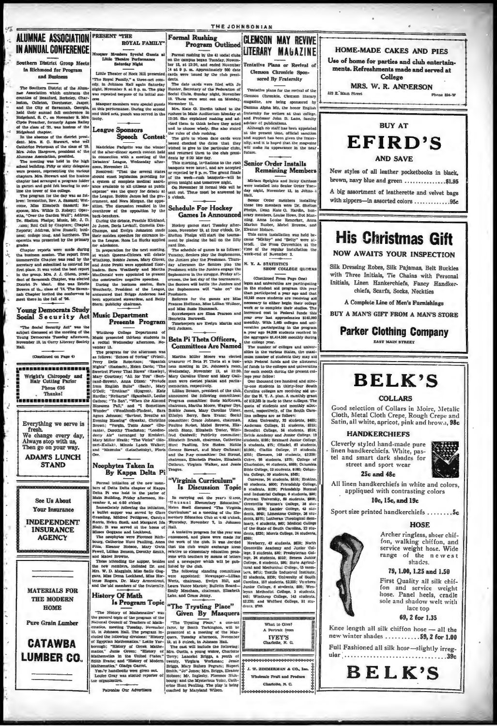## **ALUMNAE ASSOCIATION PRESENT "THE IN ANNUAL CONFERENCE**

 $\frac{1}{2}$ 

ern District Group Meets in Richmond for Program and Basiness

hern District of the Alun The Boul ner Association which embraces the counties of Beauford, Berkeley, Charleston, Colleton, Dorchester, Jasper, and the City of Savannah, Georgia, held their an nual fall confer  $\frac{1}{2}$ and, S. C., on Nove mber 9. Mrs Civde Preacher, formerly Agnes Bailey of the class of '21, was hostess of the reland chapter

In the abs ee of the district president. Mrs. E. C. Stewart, who will

dent. Mrs. E. C. Stewart, who well class of 25, the<br>Catherine Peterman of the class of 25, Mrs. John Hargrove, president of the<br>Alumnae Association, president.<br>The meeting was held in the high school building. Fifty or six

chapter. Mrs. Between and the hostess chapter. Mrs. Between tand the hostess chapter had assumed a pregnant indefinition in the tower of the college. The program for the clay was at follows: Inverseline, Rev. A. Bassardi,

rades<br>Thapter reports were made during<br>ta business session. The report from<br>ummerville Chapter was read by the<br>eretary and submitted to contend for tha bt first place. It was voted the best report<br>in the group. Mrs. J. J. Glenn, president of Savannah Chapter, was elect-District Pr She was Estell ident. Bowers of the class of '14. The Savan nah Chapter lavited the con

**Young Democrats Study** Social Security Act

"The Social Security Act" was the<br>subject discussed at the meeting of the<br>Young Democrats Tuesday afternoon,<br>November 13, in Curry Literary Society<br>November 13, in Curry Literary Society

(Continued on Page 4)

<u>Inseesseerenenseer</u> Wright's Chiropody and<br>Hair Cutting Parlor Phone 636 Thanks! --------------------Everything we serve is

fre ah. We change every day, Always stop with us. Then go on your way.

**ADAM'S LUNCH STAND** 

> See Us About Your Insurance

**INDEPENDENT INSURANCE AGENCY** 

**MATERIALS FOR THE MODERN HOME** 

**Pure Grain Lumber** 

**CATAWBA** 

**LUMBER CO.** 

**ROYAL FAMILY** Pormal rushing by the 41 social club<br>on the campus began Tuosday, Novem<br>ber 12, at 12:30, and ended November<br>13 at 9 p. m. Approximately 500 data<br>cards were issued by the club presi ra Syccial Guesta Theatre Perform Little

Little Theater of Rock Hill presente "The Royal Family," a three-act comedy, in Johnson Hall again Saturda<br>eight, November 9, at 8 p. m. The pla<br>was repeated because of its initial suc

sassquer members were special guarant this performance. During the sec<br>and third acts, punch was served in

League Sponsors

## Speech Contest

 $\begin{tabular}{p{0.8cm}} \textbf{Madeleine Padgette was the winner of the after-dinner speech contest held in connection with a meeting of the Debaters' League, Wednesday after- \end{tabular}$ æague,<br>aber 12. op. No

noon, November 13.<br>
Encolorer 12.<br>
Encolorer 12.<br>
Encolorer and the serve all states about<br>
a system of complete medical assistance are available to all climens at public<br>
ance available to all climens at public the serve or rejected by 9 p. m. The grand fit of the week given tonight and tomorrow night. On November 18 formal bids will be<br>sent out. These must be answered by 5 o'clock. **Schedule For Hockey** 

During the debate, Peachie Kirklan<br>Jo Junes, Doris Levkoff, Cornella De<br>Champs, and Evelyn Johnston matheir maiden speeches for entrance is elule Kirklan Hockey games start Tuesday after-<br>noon, November 19, at four o'clock, Dr.<br>Shelton Phalga will start the tourna-<br>ment by placing the ball on the fifty their maiden speer<br>to the League, Ro sa Lu Hucke applie ard line.

In preparation for the next The seneame or games is a colorer<br>Tuesday, Seniors play the Sophomores<br>the Juniors play the Preshmen. Thurs<br>day afternoon the Seniors play the at which Queens-Chicora will debate and Anne Pruitt were appointed floor<br>leaders. Sara Weatherly and Marth Preshmen while the Juniors engag MacDonald were appointed to pres Sophomores in the struggie. Priday aftthe constructive negative spee-During the business session, Sara<br>Weatherly, President of the League announced that Briggs Anderson ha

nted stewardess, and Betty  $en$  app Stern, publicity chairm **Music Department** 

## Presents Program

Winthrop College Department of<br>fusic presented thirteen students in<br>recital Wednesday afternoon, Noember 13.

The program for the aftern s folk wa: 'Echoes of Goring'' (Friml)<br>Delle Robertson; "Spanish Perry Delle Robertson; "Spanish<br>Nighta" (Rasbach), Helen Davis; "The ectest Plower That Blows" (Hawley) Mary Courtney; "All for You" (Bert-<br>rand-Brown), Anna Dixon: "Prelude rand-Brown), Anna Dixon: "Prelude<br>from English Buite" (Bach), Mary<br>O'Dell; "Erolican" (Sjogren), Kate man were elected planist and parlia announced the following committees: Hardin: "Netturno" (Sgambati), Louise Marque, "Returno" (egumenta), Louise<br>
Glabsoms Fall," and "I Simetimes<br>
Niossoms Fall," and "I Sometimes<br>
Wonder" (Woodfmidt-Finden), Sara<br>
Agnes Johnson; "Saviour, Breathe an chairman, Martha Moore, Wagner Dye Enable James, Mary Caroline Ulmer<br>Ethelyn Berry, Sara Evans; Social<br>committee: Grace Johnson, chairman Johnson; "Sacriour, Breathe and<br>g Blessing" (Speaks), Christine<br>; "Vergin, Tutto Amor" (Du-<br>Durothy Thackston; "London-Pauline Nashet, Mabel Browne, Eliz Pauline Nature, Mahel Browne, Elizabeth Trenter, Wini-Irad Caddwell; Publicly committee:<br>Elizabeth Trenter, Wini-Irad Caddwell; Publicliy committee:<br>Elizabeth Brandd, chairman, Catherino<br>Hurt Pauling, Irad Stokes, Hattiel<br> wn; "Vergin, Tutto Amor" (Du-<br>y Air" (arranged by Kreislach)<br>y Air" (arranged by Kreisler),<br>y Miller Heath; "The Violes" (Mo-<br>-Kullak), Minnie Lynch Walker;<br>"Mazeuka" (Leischeitsky), Finris

**Neophytes Taken In** By Kappa Delta Pi

mal initiation of the new mem evans manusum or new members of Esperantine bers of Delta Pi was held in the parlor of Mapper and Mark Priday afternoon, November 3, at 4:30 o'clock

In carrying out the years treme.<br>The said Elementary Education,<br>Helen fixed discussed "The Virginia<br>Curriculum" at a meeting of the Elementary Education Club at 4:45 o'clock, vember 4, at 4:30 o'tlock the initiation, but<br>member 4, at 4:30 o'tlock a but<br>field containing. Mildred Pettigrew, Garoly, Gramling, Mildred Pettigrew, Garoly,<br>Gramling, Mildred Pettigrew, Garoly, Salair, R. was served at **Thursday, November Hall** 

ell, Lillian Benson, Derothy Smith,<br>Mabel Browne,<br>Nose attending the supper, besides<br>nose attending the supper, besides<br>new members, included Dr. and<br>W. D. Magginis, Miss Sadie Gog-

W. D. Magginis, Miss Sadle Gog.<br>Miss Dema Lockhead, Miss Hor-<br>Rogera, Dr. Mary Armentrout<br>the old members of the fraternity **History Of Math** 

Is Program Topic

"The Nistory of Mathematics" was stated<br>result of the general of the general of the general of Neumannia (In<br>the Savaday, November of Mathematics, methods and the following divisions: "History of the following divisions: bry of Mathe Yea.'y handbooks were given out.<br>Louise Gray was slacted reporter

## THE JOHNSONIAN Formal Rushing

### **CLEMSON MAY REVIVE Program Outlined** LITERARY MAGAZINE

Tentative Plans or Revival of Clemson Chronicle Sponsored By Fraternity

Tentative plans for the revival of the

genu.<br>The date cards were filed with Jo<br>Hunter, Secretary of the Federation of<br>Social Clubs, Sunday night, November<br>10. These were sent out on Monday,<br>November 11. Clemson Chronicle, Clemson literary magazine, are being sponsored by Nowmber 11. Nata Co. Hardin talked to the Min. Kato Co. Hardin Audiorium Monday at 12:50. She explained runking and ad-<br>tried them to think before they are viewed them to think before they rated<br>them to think before they Jamma Alpha Mu, the honor English

Gamma Alpha Mu, the boost English Tangara Alpha Mu, the boost English and Professor John D. Laote, facuity Alpha deviser of publications. Laote, facuity Albhaudh no staff has been appointed and any state of the paper. tha and returned them to the club presi-

### **Senior Order Installs Remaining Members**

Miriam Speights and Betty Carris<br>were installed into Senior Order Tue<br>day night, November 13, in Johns.<br>Hall, tor Order members installing s

Senior Order members installing the<br>statistic theorem installing the statistic members were Dr. Sheiton Radi<br>Phelps, Dean Kate O. Rardin, lon-anny members. Louis Rennelezt, Anna Marian Bulley, Alikel Browne, and Marian Di

N. Y. A. STATISTICS<br>SHOW COLLEGE QUOTAS

(Continued Prom Pago One)<br>
ing the distribution of the stationary in the student and any proprian this year<br>
in the student and program this year<br>
in the student and the student are receiving ald that<br>  $10,193$  more stude neurons cone in reason and proximates \$145,000<br>monthly. With 1,465 calleges and universities participating in the program a year ago 94,308 students received in<br>the aggregate \$1,414,595 monthly during

the college year.<br>The number of colleges and univer ttles in the various Stat es, the mar aun numbe of students they may alo vith Federal funds and the allotment of funds to the colleges and universitie for each month during the present col

lege year follow:<br>One thousand two hundred and nine ty-one students in thirty-four Bouth Carolina colleges are receiving aid un der the N.Y. A. olan. A monthly grant of \$19,365 is made to these colleges. The<br>quota of students and monthly allot  $T<sub>b</sub>$ ment, respectively, of the South Caro<br>tina colleges are as follows:<br>Allen University, 33 students, \$495

Games Contenuity, 26 EU<br>Contention College, 21 attudents, 3315;<br>Benedict College, 34 students, 3516;<br>Ecttis Academy and Junior College. 13<br>Students, 3195; Brainard Junior College.

2. etus Acatemy and viener College, 19<br>
2. etus Acatemy and viener College, 19<br>
3. tudents, 8195; Dirasmard Junior College, 8<br>
3. stories, Clemman, 149 students, 82529;<br>
2. Clemman, 149 students, 82529;<br>
2. Clements, 8195; dents, \$645; Limestons College, 34<br>dents, \$570; Lutheran Theological<br>inary, 4 students, \$60; Medical Co<br>of the State of South Carolina, 22  $.23$  stu dents, \$330; Morris College, 24 stud-

\$360;<br>Newberry, 42 atudents, 9630; North<br>Greenville Academy and Junior Col-<br>lege, 2 atudents, \$30; Presbyterian College, 34 students, 8510; Beneca Junio<br>College, 6 students, 390; Btste Agricultural and Mechanical College, 45 mem bers, \$675; Textile Industrial Institute 23 students, \$330; University of South<br>Carolina, 157 students, \$3,355; Vomhees Junior College, 5 students, 39,500, Western Methodist College, 3 students, 485; Western Methodist College, 143 students, 32,220; and Wniford College, 51 students,

dents, \$785.

What to Give? A Portrait from **IVEY'S**  $k$ , N.  $\Omega$ .  $\omega$ **MESSING** J. W. ZIMMERMAN & CO., Inc. Wholesale Frait and Produce Charlotte, N. C.

HOME-MADE CAKES AND PIES

Use of home for parties and club entertainments. Refreshments made and served at College

MRS. W. R. ANDERSON

527 E. Main Street

Phone 824-W



New styles of all leather pocketbooks in black, brown, navy blue and green ................. \$1.95

A big assortment of leatherette and velvet bags with zippers-in assorted colors .............95c

# **His Christmas Gift**

**NOW AWAITS YOUR INSPECTION** 

Silk Dressing Robes, Silk Pajamas, Belt Buckles with Three Initials, Tie Chains with Personal Initials, Linen Hankerchiefs, Fancy Handkerchiefs, Scarfs, Socks, Neckties

A Complete Line of Men's Furnishings

BUY A MAN'S GIFT FROM A MAN'S STORE

# **Parker Clothing Company**

EAST MAIN STREET

# **BELK'S**

### COLLARS

Good selection of Collars in Moire, Metalic Cloth, Metal Cloth Crepe, Rough Crepe and Satin, all white, apricot, pink and brown, 98c

## **HANDKERCHIEFS**

Cleverly styled hand-made pure linen bandkerchiefs. White, pas-<br>tel and smart dark shades for street and sport wear



## **25c and 48c**

All linen handkerchiefs in white and colors, appliqued with contrasting colors 10c, 15c, and 19c

Sport size printed handkerchiefs ........5c

### **HOSE**

Archer ringless, sheer chiffon, walking chiffon, and service weight hose. Wide<br>range of the newest<br>shades.

## 79, 1.00, 1.25 and 1.50

First Quality all silk chiffon and service weight hose. Panel heels, cradle sole and shadow welt with lace top

69. 2 for 1.35

Knee length all silk chiffon hose -- all the new winter shades ...........59, 2 for 1.00 Full Fashioned all silk hose-slightly irreg-



se Our Adv



"The Trysting Place"<br>Given By Masquers

Given By Masquers<br>
"The Trysling Place," a one-act inter, by Booth Tarkington, will be<br>
presented at a mestage of the Mass-<br>
presented at a mestage of the Mass-<br>
D. The case will induce the Moleman:<br>
The case will induce

ernoon, the last day of the tournam the Seniors will battle the Juniors and<br>the Sophomores will "take on" the Referees for the games are Mix and Miss Suth Hammack. Scorekeepers are Elma Pearson and nrietta Barnwell. Timekeepers are Evelyn Martin and

ients by 6:30 Mor day. This morning, invitation

The sch

nquets were issue i, and are accepte

rush banqu

**Games Is Announced** 

edule of games in as follows

a to the rush

ts-will be

**Nell Jacks** 

# Beta Pi Theta Officers, **Committees Are Named** Martha Miller Moore was elected<br>treasurer of Beta Pi Theta at a business meeting in Dr. Johnson's room,<br>Wednesday, November 12, at 12:30,<br>Mary Caroline Ulmer and Mary Carolines

mentarian, respectively.<br>Lillian Benson, president of the club

Cothran. Virginia Walker, and Je

"Virginia Curriculum"

Is Discussion Topic

 $7.$  In Jo.

In carrying out the year's theme